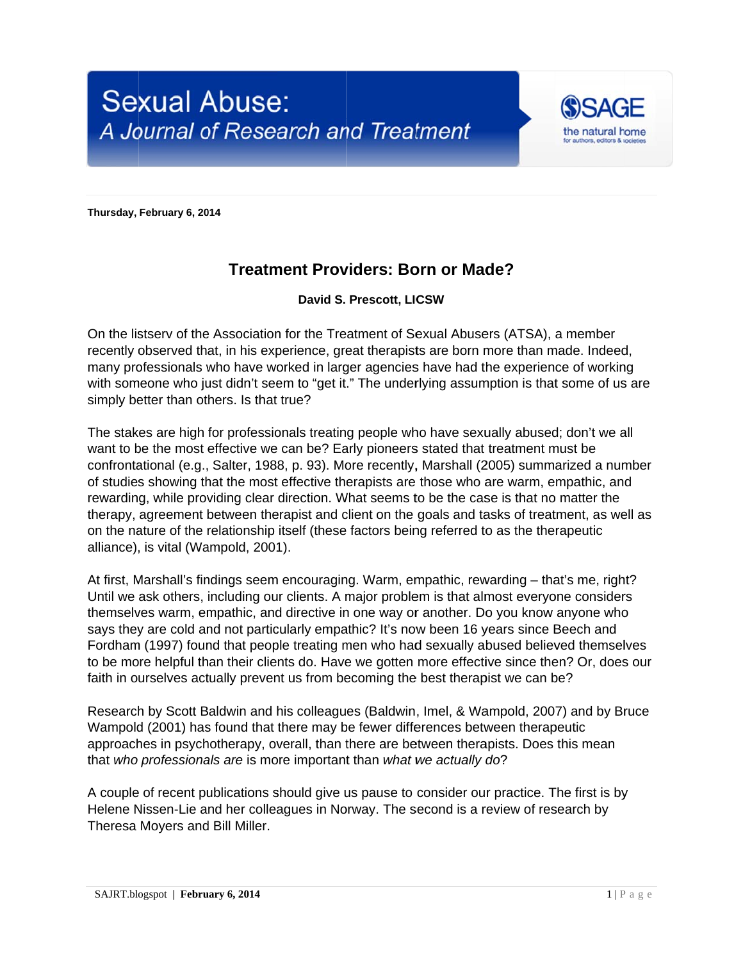

**Thursday, February 6, 20 014** 

## **Treatment Providers: Born or Made?**

## **David S. Prescott, LIC CSW**

On the listserv of the Association for the Treatment of Sexual Abusers (ATSA), a member recently observed that, in his experience, great therapists are born more than made. Indeed, many professionals who have worked in larger agencies have had the experience of working with someone who just didn't seem to "get it." The underlying assumption is that some of us are simply better than others. Is that true?

The stakes are high for professionals treating people who have sexually abused; don't we all want to be the most effective we can be? Early pioneers stated that treatment must be confrontational (e.g., Salter, 1988, p. 93). More recently, Marshall (2005) summarized a number of studies showing that the most effective therapists are those who are warm, empathic, and rewarding, while providing clear direction. What seems to be the case is that no matter the therapy, agreement between therapist and client on the goals and tasks of treatment, as well as on the nature of the relationship itself (these factors being referred to as the therapeutic alliance), is vital (Wampold, 2001).

At first, Marshall's findings seem encouraging. Warm, empathic, rewarding – that's me, right? Until we ask others, including our clients. A major problem is that almost everyone considers themselves warm, empathic, and directive in one way or another. Do you know anyone who says they are cold and not particularly empathic? It's now been 16 years since Beech and themselves warm, empathic, and directive in one way or another. Do you know anyone who<br>says they are cold and not particularly empathic? It's now been 16 years since Beech and<br>Fordham (1997) found that people treating men to be more helpful than their clients do. Have we gotten more effective since then? Or, does our faith in ourselves actually prevent us from becoming the best therapist we can be?

Research by Scott Baldwin and his colleagues (Baldwin, Imel, & Wampold, 2007) and by Bruce Wampold (2001) has found that there may be fewer differences between therapeutic approaches in psychotherapy, overall, than there are between therapists. Does this mean that who professionals are is more important than what we actually do?

A couple of recent publications should give us pause to consider our practice. The first is by Helene Nissen-Lie and her colleagues in Norway. The second is a review of research by Theresa Moyers and Bill Miller.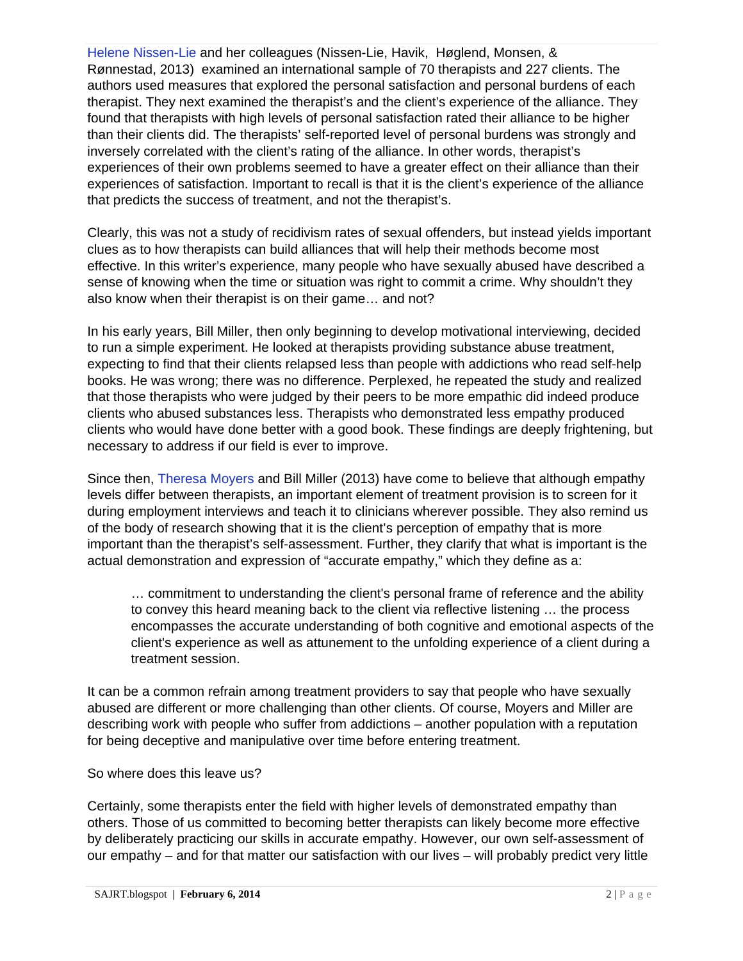Helene Nissen-Lie and her colleagues (Nissen-Lie, Havik, Høglend, Monsen, & Rønnestad, 2013) examined an international sample of 70 therapists and 227 clients. The authors used measures that explored the personal satisfaction and personal burdens of each therapist. They next examined the therapist's and the client's experience of the alliance. They found that therapists with high levels of personal satisfaction rated their alliance to be higher than their clients did. The therapists' self-reported level of personal burdens was strongly and inversely correlated with the client's rating of the alliance. In other words, therapist's experiences of their own problems seemed to have a greater effect on their alliance than their experiences of satisfaction. Important to recall is that it is the client's experience of the alliance that predicts the success of treatment, and not the therapist's.

Clearly, this was not a study of recidivism rates of sexual offenders, but instead yields important clues as to how therapists can build alliances that will help their methods become most effective. In this writer's experience, many people who have sexually abused have described a sense of knowing when the time or situation was right to commit a crime. Why shouldn't they also know when their therapist is on their game… and not?

In his early years, Bill Miller, then only beginning to develop motivational interviewing, decided to run a simple experiment. He looked at therapists providing substance abuse treatment, expecting to find that their clients relapsed less than people with addictions who read self-help books. He was wrong; there was no difference. Perplexed, he repeated the study and realized that those therapists who were judged by their peers to be more empathic did indeed produce clients who abused substances less. Therapists who demonstrated less empathy produced clients who would have done better with a good book. These findings are deeply frightening, but necessary to address if our field is ever to improve.

Since then, Theresa Moyers and Bill Miller (2013) have come to believe that although empathy levels differ between therapists, an important element of treatment provision is to screen for it during employment interviews and teach it to clinicians wherever possible. They also remind us of the body of research showing that it is the client's perception of empathy that is more important than the therapist's self-assessment. Further, they clarify that what is important is the actual demonstration and expression of "accurate empathy," which they define as a:

… commitment to understanding the client's personal frame of reference and the ability to convey this heard meaning back to the client via reflective listening … the process encompasses the accurate understanding of both cognitive and emotional aspects of the client's experience as well as attunement to the unfolding experience of a client during a treatment session.

It can be a common refrain among treatment providers to say that people who have sexually abused are different or more challenging than other clients. Of course, Moyers and Miller are describing work with people who suffer from addictions – another population with a reputation for being deceptive and manipulative over time before entering treatment.

## So where does this leave us?

Certainly, some therapists enter the field with higher levels of demonstrated empathy than others. Those of us committed to becoming better therapists can likely become more effective by deliberately practicing our skills in accurate empathy. However, our own self-assessment of our empathy – and for that matter our satisfaction with our lives – will probably predict very little